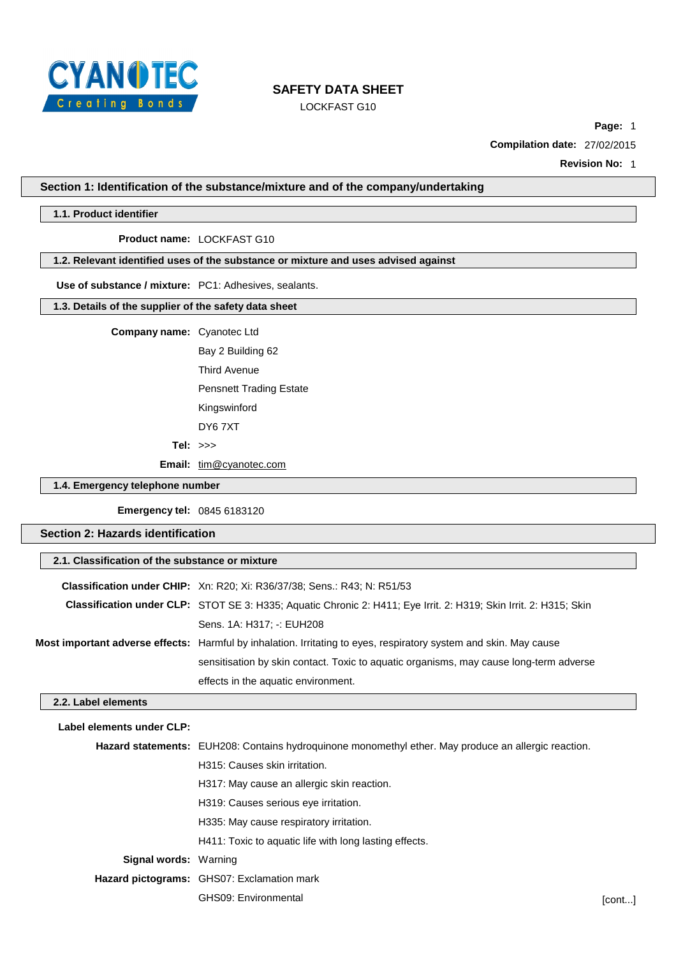

LOCKFAST G10

**Page:** 1

**Compilation date:** 27/02/2015

**Revision No:** 1

**Section 1: Identification of the substance/mixture and of the company/undertaking**

#### **1.1. Product identifier**

#### **Product name:** LOCKFAST G10

# **1.2. Relevant identified uses of the substance or mixture and uses advised against**

**Use of substance / mixture:** PC1: Adhesives, sealants.

#### **1.3. Details of the supplier of the safety data sheet**

**Company name:** Cyanotec Ltd

Bay 2 Building 62 Third Avenue Pensnett Trading Estate Kingswinford DY6 7XT **Tel:** >>>

**Email:** [tim@cyanotec.com](mailto:tim@cyanotec.com)

#### **1.4. Emergency telephone number**

**Emergency tel:** 0845 6183120

**Section 2: Hazards identification**

# **2.1. Classification of the substance or mixture**

| <b>Classification under CHIP:</b> Xn: R20; Xi: R36/37/38; Sens.: R43; N: R51/53                                   |
|-------------------------------------------------------------------------------------------------------------------|
| Classification under CLP: STOT SE 3: H335; Aquatic Chronic 2: H411; Eye Irrit. 2: H319; Skin Irrit. 2: H315; Skin |
| Sens. 1A: H317; -: EUH208                                                                                         |
| Most important adverse effects: Harmful by inhalation. Irritating to eyes, respiratory system and skin. May cause |
| sensitisation by skin contact. Toxic to aguatic organisms, may cause long-term adverse                            |
| effects in the aquatic environment.                                                                               |

#### **2.2. Label elements**

| Label elements under CLP:    |                                                                                                      |        |
|------------------------------|------------------------------------------------------------------------------------------------------|--------|
|                              | Hazard statements: EUH208: Contains hydroquinone monomethyl ether. May produce an allergic reaction. |        |
|                              | H315: Causes skin irritation.                                                                        |        |
|                              | H317: May cause an allergic skin reaction.                                                           |        |
|                              | H319: Causes serious eye irritation.                                                                 |        |
|                              | H335: May cause respiratory irritation.                                                              |        |
|                              | H411: Toxic to aguatic life with long lasting effects.                                               |        |
| <b>Signal words: Warning</b> |                                                                                                      |        |
|                              | <b>Hazard pictograms:</b> GHS07: Exclamation mark                                                    |        |
|                              | GHS09: Environmental                                                                                 | [cont] |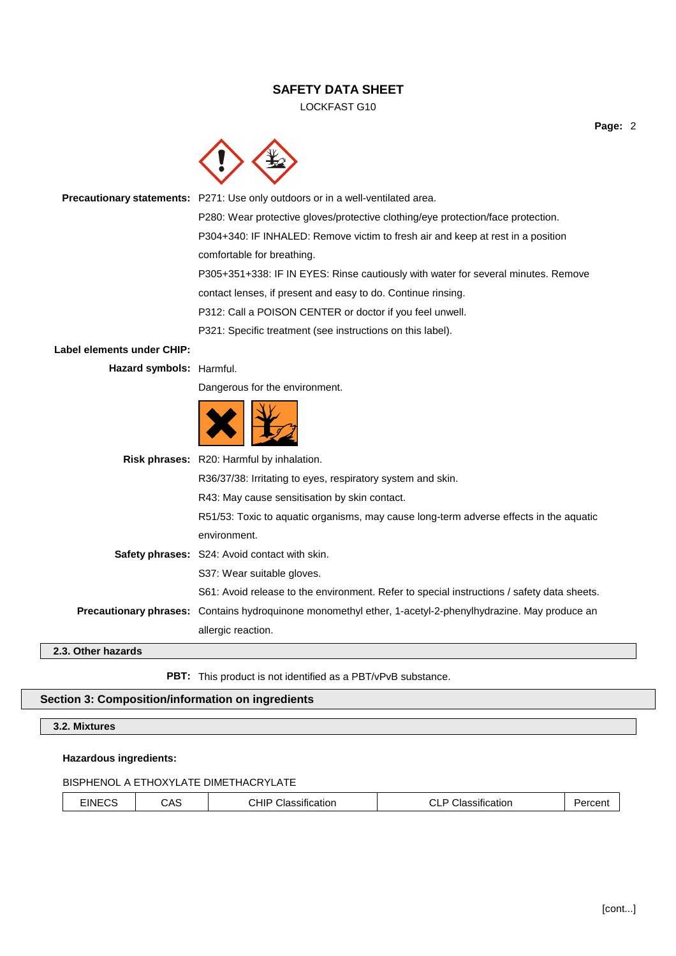LOCKFAST G10

**Precautionary statements:** P271: Use only outdoors or in a well-ventilated area.

P280: Wear protective gloves/protective clothing/eye protection/face protection. P304+340: IF INHALED: Remove victim to fresh air and keep at rest in a position comfortable for breathing. P305+351+338: IF IN EYES: Rinse cautiously with water for several minutes. Remove contact lenses, if present and easy to do. Continue rinsing. P312: Call a POISON CENTER or doctor if you feel unwell. P321: Specific treatment (see instructions on this label).

# **Label elements under CHIP:**

**Hazard symbols:** Harmful.

Dangerous for the environment.

|--|--|

| <b>Risk phrases:</b> R20: Harmful by inhalation.                                                          |
|-----------------------------------------------------------------------------------------------------------|
| R36/37/38: Irritating to eyes, respiratory system and skin.                                               |
| R43: May cause sensitisation by skin contact.                                                             |
| R51/53: Toxic to aquatic organisms, may cause long-term adverse effects in the aquatic                    |
| environment.                                                                                              |
| <b>Safety phrases:</b> S24: Avoid contact with skin.                                                      |
| S37: Wear suitable gloves.                                                                                |
| S61: Avoid release to the environment. Refer to special instructions / safety data sheets.                |
| Precautionary phrases: Contains hydroquinone monomethyl ether, 1-acetyl-2-phenylhydrazine. May produce an |
| allergic reaction.                                                                                        |

#### **2.3. Other hazards**

**PBT:** This product is not identified as a PBT/vPvB substance.

## **Section 3: Composition/information on ingredients**

# **3.2. Mixtures**

#### **Hazardous ingredients:**

BISPHENOL A ETHOXYLATE DIMETHACRYLATE

| <b>EINECS</b><br>____ | CAS | $\cdots$<br>cation<br>பட<br>سماء<br>$\sim$ $\sim$<br>$\sim$ $\sim$ $\sim$ $\sim$ $\sim$ | .<br>aliur<br>$\sim$<br>$\overline{a}$<br>┚┖<br>$\sim$ |  |
|-----------------------|-----|-----------------------------------------------------------------------------------------|--------------------------------------------------------|--|
|                       |     |                                                                                         |                                                        |  |

**Page:** 2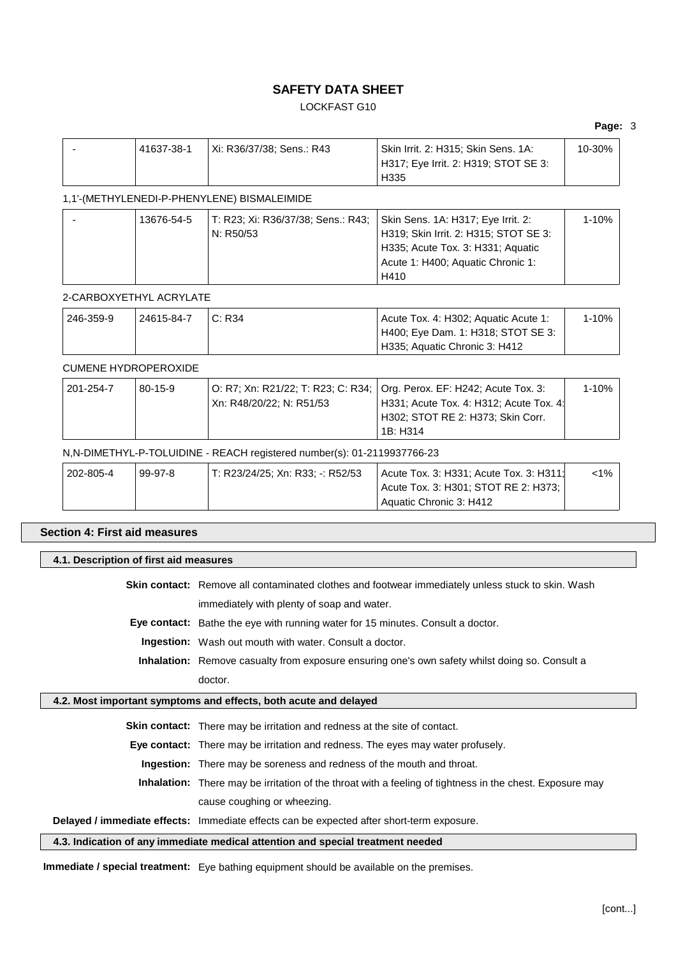# LOCKFAST G10

| 41637-38-1 | Xi: R36/37/38: Sens.: R43 | Skin Irrit. 2: H315: Skin Sens. 1A:  | 10-30% |
|------------|---------------------------|--------------------------------------|--------|
|            |                           | H317; Eye Irrit. 2: H319; STOT SE 3: |        |
|            |                           | H <sub>335</sub>                     |        |

# 1,1'-(METHYLENEDI-P-PHENYLENE) BISMALEIMIDE

| 13676-54-5 | T: R23; Xi: R36/37/38; Sens.: R43;<br>N: R50/53 | Skin Sens. 1A: H317; Eye Irrit. 2:<br>H319; Skin Irrit. 2: H315; STOT SE 3:    | $1 - 10\%$ |
|------------|-------------------------------------------------|--------------------------------------------------------------------------------|------------|
|            |                                                 | H335; Acute Tox. 3: H331; Aquatic<br>Acute 1: H400; Aquatic Chronic 1:<br>H410 |            |

## 2-CARBOXYETHYL ACRYLATE

| 246-359-9 | 24615-84-7 | C: R34 | Acute Tox. 4: H302; Aquatic Acute 1: | 1-10% |
|-----------|------------|--------|--------------------------------------|-------|
|           |            |        | H400; Eye Dam. 1: H318; STOT SE 3:   |       |
|           |            |        | H335; Aquatic Chronic 3: H412        |       |

# CUMENE HYDROPEROXIDE

| 201-254-7 | $80 - 15 - 9$ |                            | O: R7; Xn: R21/22; T: R23; C: R34;   Org. Perox. EF: H242; Acute Tox. 3: | 1-10% |
|-----------|---------------|----------------------------|--------------------------------------------------------------------------|-------|
|           |               | Xn: R48/20/22; N: R51/53 X | H331; Acute Tox. 4: H312; Acute Tox. 4:                                  |       |
|           |               |                            | H302; STOT RE 2: H373; Skin Corr.                                        |       |
|           |               |                            | 1B: H314                                                                 |       |

# N,N-DIMETHYL-P-TOLUIDINE - REACH registered number(s): 01-2119937766-23

| 202-805-4 | 99-97-8 | T: R23/24/25: Xn: R33: -: R52/53 | Acute Tox. 3: H331; Acute Tox. 3: H311; | <1% |
|-----------|---------|----------------------------------|-----------------------------------------|-----|
|           |         |                                  | Acute Tox. 3: H301; STOT RE 2: H373;    |     |
|           |         |                                  | Aquatic Chronic 3: H412                 |     |

## **Section 4: First aid measures**

## **4.1. Description of first aid measures**

**Skin contact:** Remove all contaminated clothes and footwear immediately unless stuck to skin. Wash immediately with plenty of soap and water.

**Eye contact:** Bathe the eye with running water for 15 minutes. Consult a doctor.

**Ingestion:** Wash out mouth with water. Consult a doctor.

**Inhalation:** Remove casualty from exposure ensuring one's own safety whilst doing so. Consult a doctor.

## **4.2. Most important symptoms and effects, both acute and delayed**

**Skin contact:** There may be irritation and redness at the site of contact.

**Eye contact:** There may be irritation and redness. The eyes may water profusely.

**Ingestion:** There may be soreness and redness of the mouth and throat.

**Inhalation:** There may be irritation of the throat with a feeling of tightness in the chest. Exposure may cause coughing or wheezing.

**Delayed / immediate effects:** Immediate effects can be expected after short-term exposure.

## **4.3. Indication of any immediate medical attention and special treatment needed**

**Immediate / special treatment:** Eye bathing equipment should be available on the premises.

**Page:** 3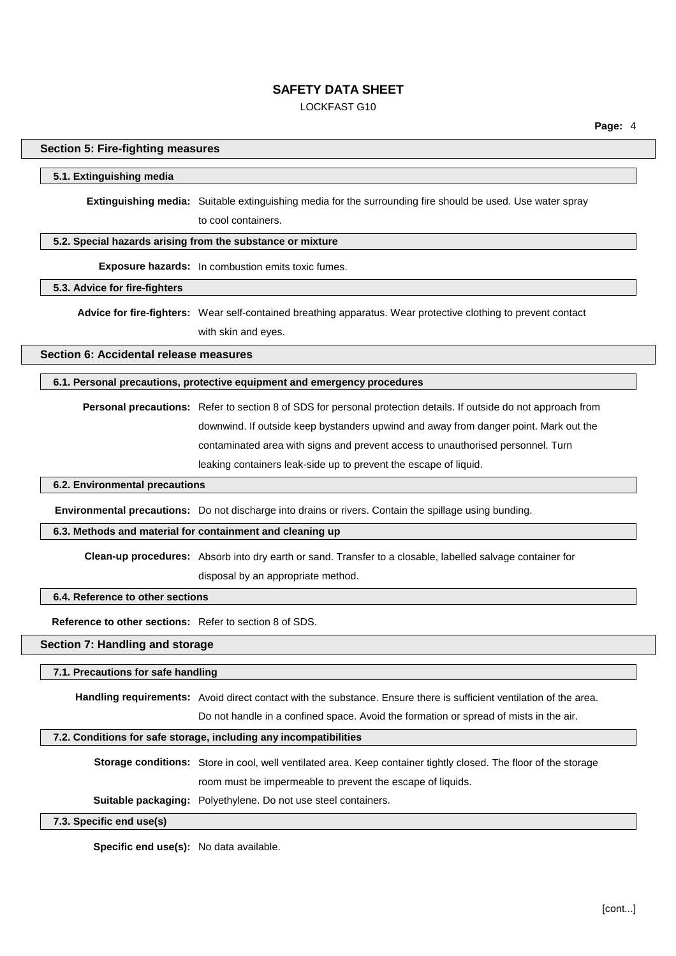#### LOCKFAST G10

**Page:** 4

#### **Section 5: Fire-fighting measures**

#### **5.1. Extinguishing media**

**Extinguishing media:** Suitable extinguishing media for the surrounding fire should be used. Use water spray to cool containers.

#### **5.2. Special hazards arising from the substance or mixture**

**Exposure hazards:** In combustion emits toxic fumes.

## **5.3. Advice for fire-fighters**

**Advice for fire-fighters:** Wear self-contained breathing apparatus. Wear protective clothing to prevent contact with skin and eyes.

**Section 6: Accidental release measures**

#### **6.1. Personal precautions, protective equipment and emergency procedures**

**Personal precautions:** Refer to section 8 of SDS for personal protection details. If outside do not approach from downwind. If outside keep bystanders upwind and away from danger point. Mark out the contaminated area with signs and prevent access to unauthorised personnel. Turn leaking containers leak-side up to prevent the escape of liquid.

## **6.2. Environmental precautions**

**Environmental precautions:** Do not discharge into drains or rivers. Contain the spillage using bunding.

#### **6.3. Methods and material for containment and cleaning up**

**Clean-up procedures:** Absorb into dry earth or sand. Transfer to a closable, labelled salvage container for

disposal by an appropriate method.

## **6.4. Reference to other sections**

**Reference to other sections:** Refer to section 8 of SDS.

#### **Section 7: Handling and storage**

#### **7.1. Precautions for safe handling**

**Handling requirements:** Avoid direct contact with the substance. Ensure there is sufficient ventilation of the area. Do not handle in a confined space. Avoid the formation or spread of mists in the air.

#### **7.2. Conditions for safe storage, including any incompatibilities**

**Storage conditions:** Store in cool, well ventilated area. Keep container tightly closed. The floor of the storage room must be impermeable to prevent the escape of liquids.

**Suitable packaging:** Polyethylene. Do not use steel containers.

#### **7.3. Specific end use(s)**

**Specific end use(s):** No data available.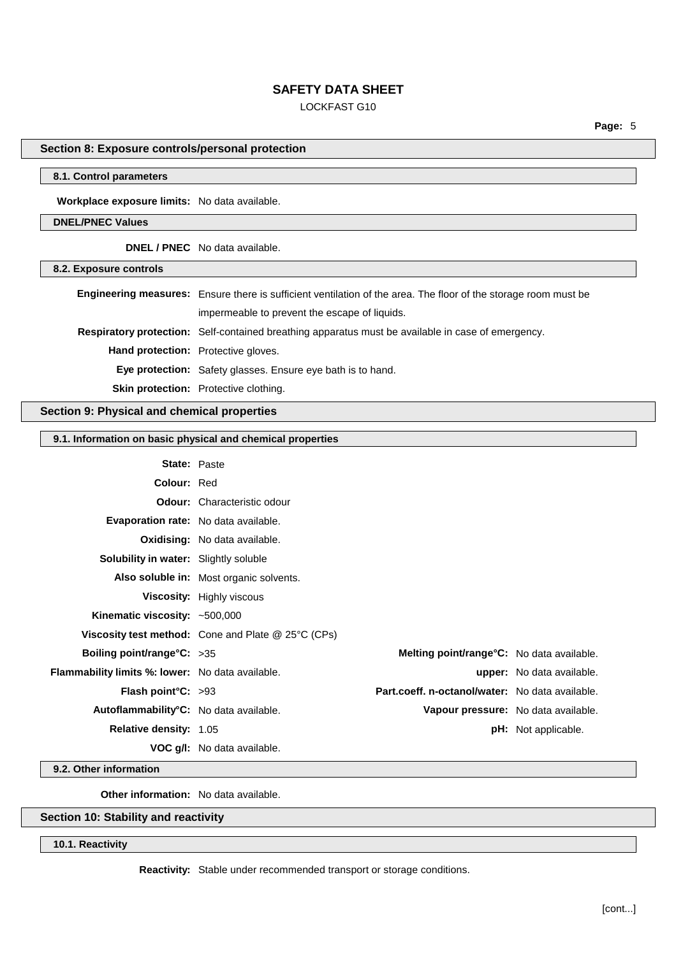## LOCKFAST G10

**Page:** 5

#### **Section 8: Exposure controls/personal protection**

#### **8.1. Control parameters**

**Workplace exposure limits:** No data available.

#### **DNEL/PNEC Values**

**DNEL / PNEC** No data available.

# **8.2. Exposure controls Engineering measures:** Ensure there is sufficient ventilation of the area. The floor of the storage room must be impermeable to prevent the escape of liquids. **Respiratory protection:** Self-contained breathing apparatus must be available in case of emergency. **Hand protection:** Protective gloves.

**Eye protection:** Safety glasses. Ensure eye bath is to hand.

**Skin protection:** Protective clothing.

## **Section 9: Physical and chemical properties**

#### **9.1. Information on basic physical and chemical properties**

| <b>State: Paste</b>                                     |                                                                |                                     |
|---------------------------------------------------------|----------------------------------------------------------------|-------------------------------------|
| Colour: Red                                             |                                                                |                                     |
|                                                         | <b>Odour:</b> Characteristic odour                             |                                     |
| <b>Evaporation rate:</b> No data available.             |                                                                |                                     |
|                                                         | <b>Oxidising:</b> No data available.                           |                                     |
| Solubility in water: Slightly soluble                   |                                                                |                                     |
|                                                         | Also soluble in: Most organic solvents.                        |                                     |
|                                                         | <b>Viscosity:</b> Highly viscous                               |                                     |
| Kinematic viscosity: $~500,000$                         |                                                                |                                     |
|                                                         | <b>Viscosity test method:</b> Cone and Plate $@$ 25 $°C$ (CPs) |                                     |
| <b>Boiling point/range°C:</b> >35                       | Melting point/range°C: No data available.                      |                                     |
| <b>Flammability limits %: lower:</b> No data available. |                                                                | upper: No data available.           |
| <b>Flash point °C:</b> $>93$                            | Part.coeff. n-octanol/water: No data available.                |                                     |
| Autoflammability°C: No data available.                  |                                                                | Vapour pressure: No data available. |
| Relative density: 1.05                                  |                                                                | <b>pH:</b> Not applicable.          |
|                                                         | <b>VOC g/l:</b> No data available.                             |                                     |

**9.2. Other information**

**Other information:** No data available.

# **Section 10: Stability and reactivity**

**10.1. Reactivity**

**Reactivity:** Stable under recommended transport or storage conditions.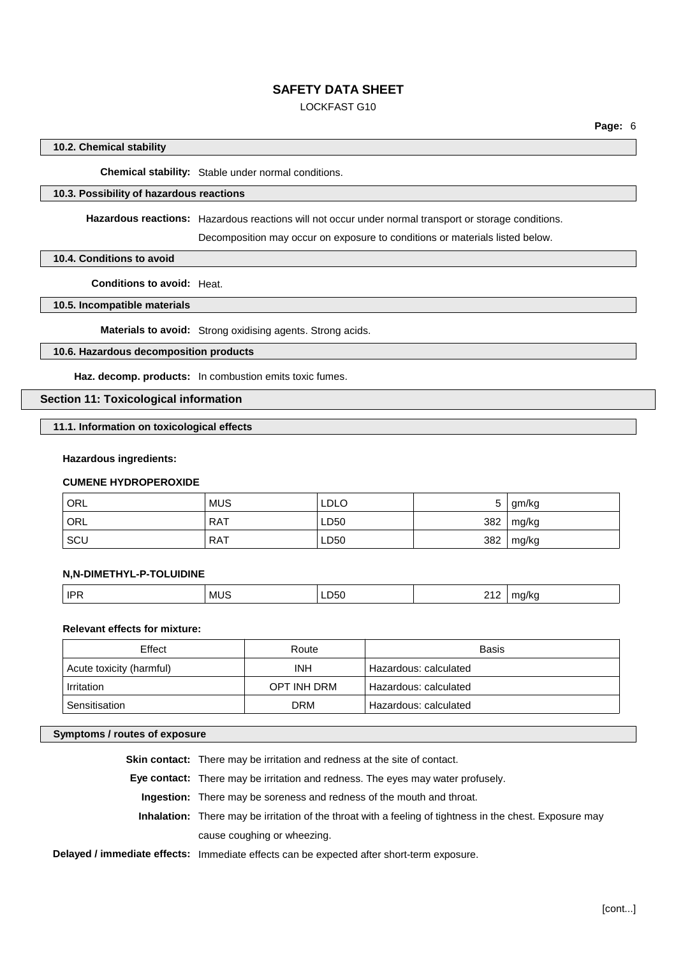## LOCKFAST G10

#### **10.2. Chemical stability**

**Chemical stability:** Stable under normal conditions.

#### **10.3. Possibility of hazardous reactions**

**Hazardous reactions:** Hazardous reactions will not occur under normal transport or storage conditions.

Decomposition may occur on exposure to conditions or materials listed below.

#### **10.4. Conditions to avoid**

**Conditions to avoid:** Heat.

#### **10.5. Incompatible materials**

**Materials to avoid:** Strong oxidising agents. Strong acids.

## **10.6. Hazardous decomposition products**

**Haz. decomp. products:** In combustion emits toxic fumes.

## **Section 11: Toxicological information**

#### **11.1. Information on toxicological effects**

#### **Hazardous ingredients:**

# **CUMENE HYDROPEROXIDE**

| ORL        | <b>MUS</b> | <b>LDLO</b> | 5   | gm/kg |
|------------|------------|-------------|-----|-------|
| ORL        | <b>RAT</b> | LD50        | 382 | mg/kg |
| <b>SCU</b> | RAT        | LD50        | 382 | mg/kg |

#### **N,N-DIMETHYL-P-TOLUIDINE**

| . .<br>$-1$<br><br>.  .  .  .<br>__ | . .<br>- MI |  |
|-------------------------------------|-------------|--|
|-------------------------------------|-------------|--|

## **Relevant effects for mixture:**

| Effect                   | Route       | Basis                 |
|--------------------------|-------------|-----------------------|
| Acute toxicity (harmful) | <b>INH</b>  | Hazardous: calculated |
| Irritation               | OPT INH DRM | Hazardous: calculated |
| Sensitisation            | <b>DRM</b>  | Hazardous: calculated |

#### **Symptoms / routes of exposure**

**Skin contact:** There may be irritation and redness at the site of contact.

**Eye contact:** There may be irritation and redness. The eyes may water profusely.

**Ingestion:** There may be soreness and redness of the mouth and throat.

**Inhalation:** There may be irritation of the throat with a feeling of tightness in the chest. Exposure may cause coughing or wheezing.

**Delayed / immediate effects:** Immediate effects can be expected after short-term exposure.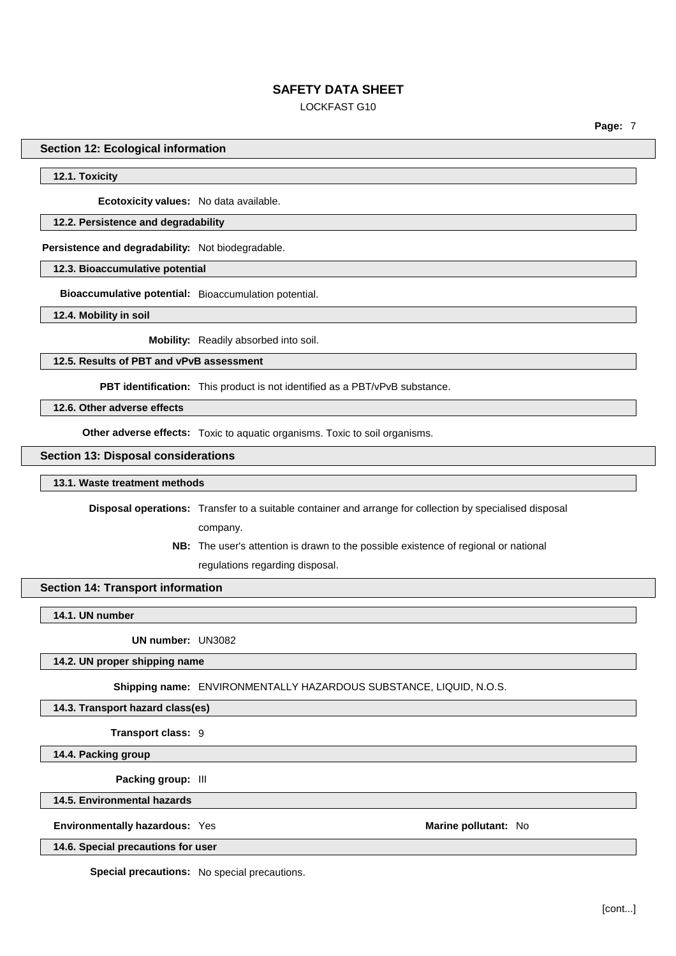# LOCKFAST G10

**Page:** 7

#### **Section 12: Ecological information**

#### **12.1. Toxicity**

**Ecotoxicity values:** No data available.

#### **12.2. Persistence and degradability**

**Persistence and degradability:** Not biodegradable.

**12.3. Bioaccumulative potential**

**Bioaccumulative potential:** Bioaccumulation potential.

**12.4. Mobility in soil**

**Mobility:** Readily absorbed into soil.

**12.5. Results of PBT and vPvB assessment**

**PBT identification:** This product is not identified as a PBT/vPvB substance.

**12.6. Other adverse effects**

**Other adverse effects:** Toxic to aquatic organisms. Toxic to soil organisms.

**Section 13: Disposal considerations**

#### **13.1. Waste treatment methods**

**Disposal operations:** Transfer to a suitable container and arrange for collection by specialised disposal

company.

**NB:** The user's attention is drawn to the possible existence of regional or national regulations regarding disposal.

#### **Section 14: Transport information**

**14.1. UN number**

**UN number:** UN3082

# **14.2. UN proper shipping name**

**Shipping name:** ENVIRONMENTALLY HAZARDOUS SUBSTANCE, LIQUID, N.O.S.

**14.3. Transport hazard class(es)**

**Transport class:** 9

**14.4. Packing group**

**Packing group:** III

**14.5. Environmental hazards**

**Environmentally hazardous:** Yes **Marine Marine Marine Marine Marine Marine Marine Marine Marine Marine Marine Marine Marine Marine Marine Marine Marine Marine Marine Marine Marine**

**14.6. Special precautions for user**

**Special precautions:** No special precautions.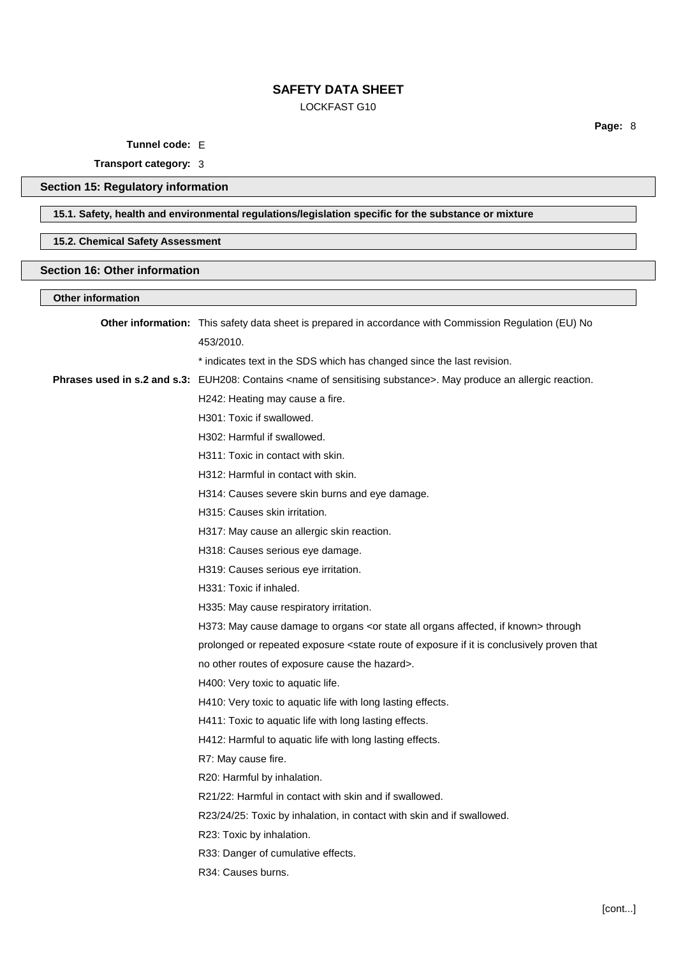# LOCKFAST G10

**Page:** 8

**Tunnel code:** E

**Transport category:** 3

# **Section 15: Regulatory information**

# **15.1. Safety, health and environmental regulations/legislation specific for the substance or mixture**

# **15.2. Chemical Safety Assessment**

## **Section 16: Other information**

| Other information: This safety data sheet is prepared in accordance with Commission Regulation (EU) No                               |
|--------------------------------------------------------------------------------------------------------------------------------------|
| 453/2010.                                                                                                                            |
| * indicates text in the SDS which has changed since the last revision.                                                               |
| Phrases used in s.2 and s.3: EUH208: Contains <name of="" sensitising="" substance="">. May produce an allergic reaction.</name>     |
| H242: Heating may cause a fire.                                                                                                      |
| H301: Toxic if swallowed.                                                                                                            |
| H302: Harmful if swallowed.                                                                                                          |
| H311: Toxic in contact with skin.                                                                                                    |
| H312: Harmful in contact with skin.                                                                                                  |
| H314: Causes severe skin burns and eye damage.                                                                                       |
| H315: Causes skin irritation.                                                                                                        |
| H317: May cause an allergic skin reaction.                                                                                           |
| H318: Causes serious eye damage.                                                                                                     |
| H319: Causes serious eye irritation.                                                                                                 |
| H331: Toxic if inhaled.                                                                                                              |
| H335: May cause respiratory irritation.                                                                                              |
| H373: May cause damage to organs <or affected,="" all="" if="" known="" organs="" state=""> through</or>                             |
| prolonged or repeated exposure <state conclusively="" exposure="" if="" is="" it="" of="" proven="" route="" th="" that<=""></state> |
| no other routes of exposure cause the hazard>.                                                                                       |
| H400: Very toxic to aquatic life.                                                                                                    |
| H410: Very toxic to aquatic life with long lasting effects.                                                                          |
| H411: Toxic to aquatic life with long lasting effects.                                                                               |
| H412: Harmful to aquatic life with long lasting effects.                                                                             |
| R7: May cause fire.                                                                                                                  |
| R20: Harmful by inhalation.                                                                                                          |
| R21/22: Harmful in contact with skin and if swallowed.                                                                               |
| R23/24/25: Toxic by inhalation, in contact with skin and if swallowed.                                                               |
| R23: Toxic by inhalation.                                                                                                            |
| R33: Danger of cumulative effects.                                                                                                   |
| R34: Causes burns.                                                                                                                   |